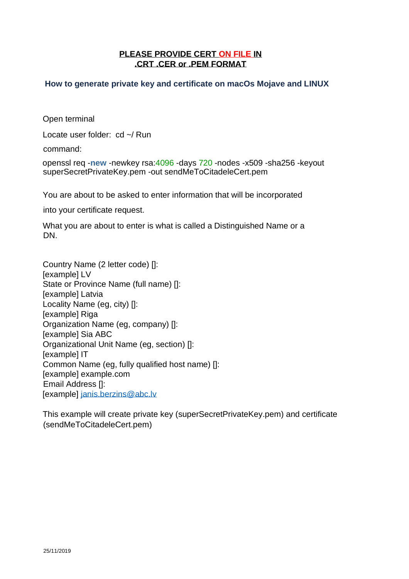## **PLEASE PROVIDE CERT ON FILE IN .CRT .CER or .PEM FORMAT**

## **How to generate private key and certificate on macOs Mojave and LINUX**

Open terminal

Locate user folder: cd ~/ Run

command:

openssl req -**new** -newkey rsa:4096 -days 720 -nodes -x509 -sha256 -keyout superSecretPrivateKey.pem -out sendMeToCitadeleCert.pem

You are about to be asked to enter information that will be incorporated

into your certificate request.

What you are about to enter is what is called a Distinguished Name or a DN.

Country Name (2 letter code) []: [example] LV State or Province Name (full name) []: [example] Latvia Locality Name (eg, city) []: [example] Riga Organization Name (eg, company) []: [example] Sia ABC Organizational Unit Name (eg, section) []: [example] IT Common Name (eg, fully qualified host name) []: [example] example.com Email Address []: [example] janis.berzins@abc.lv

This example will create private key (superSecretPrivateKey.pem) and certificate (sendMeToCitadeleCert.pem)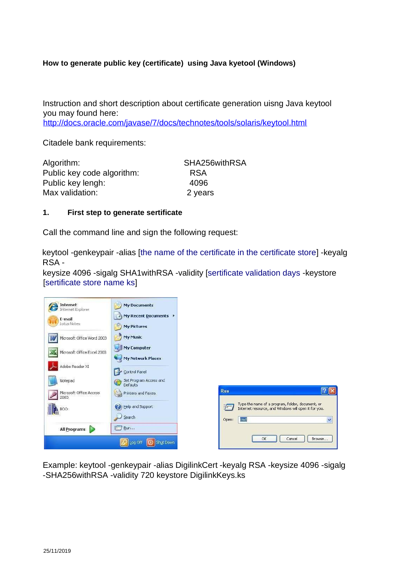## **How to generate public key (certificate) using Java kyetool (Windows)**

Instruction and short description about certificate generation uisng Java keytool you may found here:

http://docs.oracle.com/javase/7/docs/technotes/tools/solaris/keytool.html

Citadele bank requirements:

| Algorithm:                 | SHA256withRSA |
|----------------------------|---------------|
| Public key code algorithm: | <b>RSA</b>    |
| Public key lengh:          | 4096          |
| Max validation:            | 2 years       |

## **1. First step to generate sertificate**

Call the command line and sign the following request:

keytool -genkeypair -alias [the name of the certificate in the certificate store] -keyalg RSA -

keysize 4096 -sigalg SHA1withRSA -validity [sertificate validation days -keystore [sertificate store name ks]

| Internet<br>Internet Explorer   | <b>My Documents</b>                       |                                                                                                                           |
|---------------------------------|-------------------------------------------|---------------------------------------------------------------------------------------------------------------------------|
| E-mail<br>Lotus Notes           | My Recent Documents<br><b>My Pictures</b> |                                                                                                                           |
| Microsoft Office Word 2003      | My Music                                  |                                                                                                                           |
| Microsoft Office Excel 2003     | <b>My Computer</b><br>My Network Places   |                                                                                                                           |
| Adobe Reader XI                 | Control Panel                             |                                                                                                                           |
| Notepad                         | Set Program Access and<br>Defaults        |                                                                                                                           |
| Microsoft Office Access<br>2003 | Printers and Faxes                        | <b>Run</b>                                                                                                                |
| <b>BOO</b>                      | Help and Support                          | Type the name of a program, folder, document, or<br>$\frac{1}{2}$<br>Internet resource, and Windows will open it for you. |
| All Programs<br>D               | Search<br><b>Z</b> Run                    | V<br>cmd<br>Open:                                                                                                         |
|                                 | Shut Down<br>Log Off                      | Browse<br><b>OK</b><br>Cancel                                                                                             |

Example: keytool -genkeypair -alias DigilinkCert -keyalg RSA -keysize 4096 -sigalg -SHA256withRSA -validity 720 keystore DigilinkKeys.ks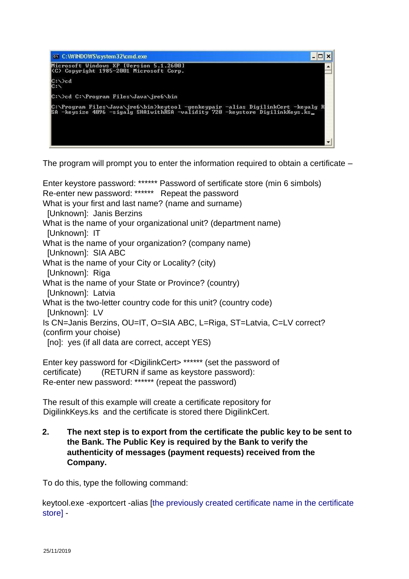

The program will prompt you to enter the information required to obtain a certificate –

Enter keystore password: \*\*\*\*\*\* Password of sertificate store (min 6 simbols) Re-enter new password: \*\*\*\*\*\* Repeat the password What is your first and last name? (name and surname) [Unknown]: Janis Berzins What is the name of your organizational unit? (department name) [Unknown]: IT What is the name of your organization? (company name) [Unknown]: SIA ABC What is the name of your City or Locality? (city) [Unknown]: Riga What is the name of your State or Province? (country) [Unknown]: Latvia What is the two-letter country code for this unit? (country code) [Unknown]: LV Is CN=Janis Berzins, OU=IT, O=SIA ABC, L=Riga, ST=Latvia, C=LV correct? (confirm your choise) [no]: yes (if all data are correct, accept YES)

Enter key password for <DigilinkCert> \*\*\*\*\*\* (set the password of certificate) (RETURN if same as keystore password): Re-enter new password: \*\*\*\*\*\* (repeat the password)

The result of this example will create a certificate repository for DigilinkKeys.ks and the certificate is stored there DigilinkCert.

**2. The next step is to export from the certificate the public key to be sent to the Bank. The Public Key is required by the Bank to verify the authenticity of messages (payment requests) received from the Company.**

To do this, type the following command:

keytool.exe -exportcert -alias [the previously created certificate name in the certificate store] -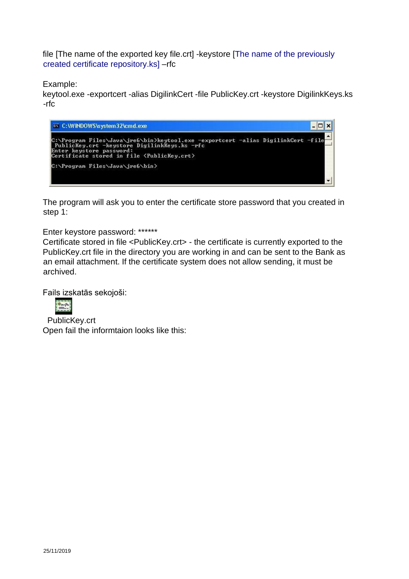file [The name of the exported key file.crt] -keystore [The name of the previously created certificate repository.ks] –rfc

Example:

keytool.exe -exportcert -alias DigilinkCert -file PublicKey.crt -keystore DigilinkKeys.ks -rfc

ex C:\WINDOWS\system32\cmd.exe  $\Box$ x C:\Program Files\Java\jre6\bin>keytool.exe -exportcert -alias DigilinkCert -file<br>PublicKey.crt -keystore DigilinkKeys.ks -rfc<br>Enter keystore password:<br>Certificate stored in file <PublicKey.crt> C:\Program Files\Java\jre6\bin> 

The program will ask you to enter the certificate store password that you created in step 1:

Enter keystore password: \*\*\*\*\*\*

Certificate stored in file <PublicKey.crt> - the certificate is currently exported to the PublicKey.crt file in the directory you are working in and can be sent to the Bank as an email attachment. If the certificate system does not allow sending, it must be archived.

Fails izskatās sekojoši:



PublicKey.crt Open fail the informtaion looks like this: